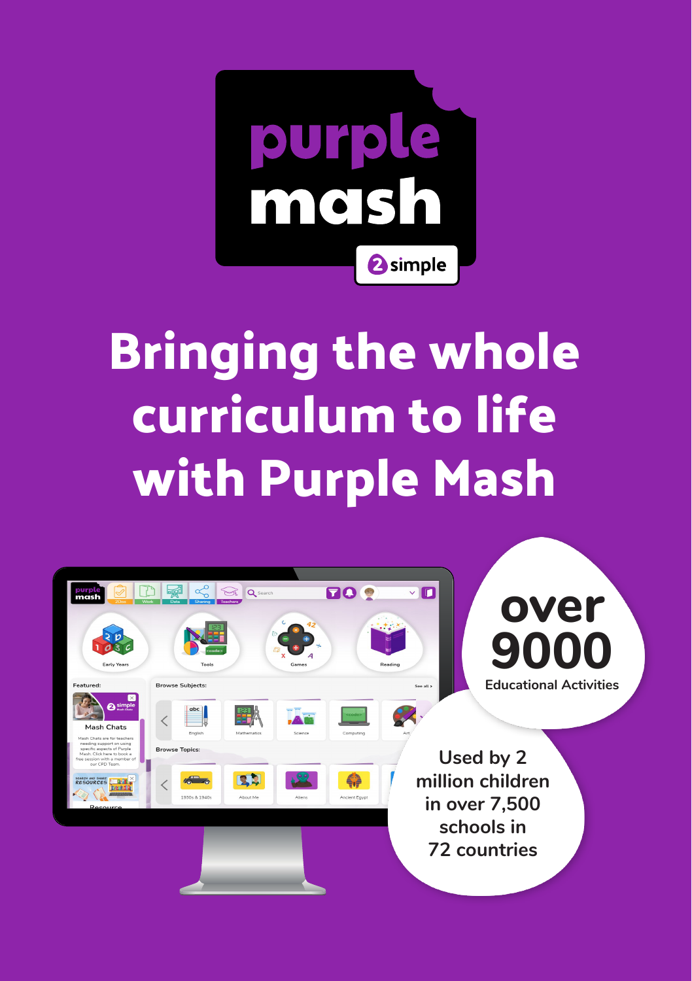

## **Bringing the whole curriculum to life with Purple Mash**